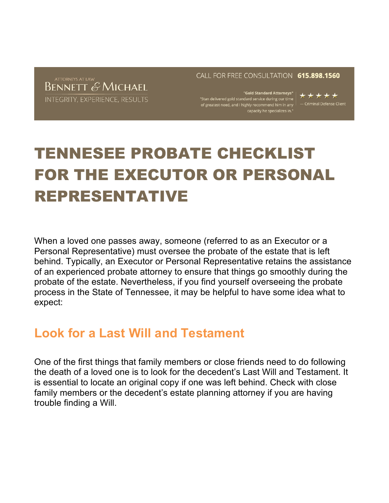ATTORNEYS AT LAW **BENNETT & MICHAEL** INTEGRITY, EXPERIENCE, RESULTS CALL FOR FREE CONSULTATION 615.898.1560

"Gold Standard Attorneys" "Stan delivered gold standard service during our time "Stan delivered gold standard service during our time"<br>of greatest need, and I highly recommend him in any "| — Criminal Defense Client<br>capacity he specializes in."

\*\*\*\*\*

# TENNESEE PROBATE CHECKLIST FOR THE EXECUTOR OR PERSONAL REPRESENTATIVE

When a loved one passes away, someone (referred to as an Executor or a Personal Representative) must oversee the probate of the estate that is left behind. Typically, an Executor or Personal Representative retains the assistance of an experienced probate attorney to ensure that things go smoothly during the probate of the estate. Nevertheless, if you find yourself overseeing the probate process in the State of Tennessee, it may be helpful to have some idea what to expect:

#### **Look for a Last Will and Testament**

One of the first things that family members or close friends need to do following the death of a loved one is to look for the decedent's Last Will and Testament. It is essential to locate an original copy if one was left behind. Check with close family members or the decedent's estate planning attorney if you are having trouble finding a Will.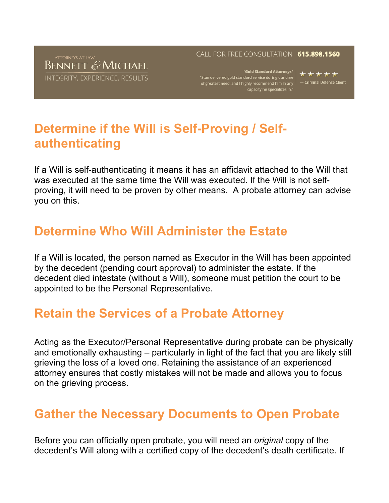#### **BENNETT & MICHAEL** INTEGRITY, EXPERIENCE, RESULTS

#### CALL FOR FREE CONSULTATION 615.898.1560

"Gold Standard Attorneys"<br>Indard service during our time "Stan delivered gold standard service during our time"<br>of greatest need, and I highly recommend him in any<br>"capacity he specializes in.

- Criminal Defense Client

### **Determine if the Will is Self-Proving / Selfauthenticating**

If a Will is self-authenticating it means it has an affidavit attached to the Will that was executed at the same time the Will was executed. If the Will is not selfproving, it will need to be proven by other means. A probate attorney can advise you on this.

### **Determine Who Will Administer the Estate**

If a Will is located, the person named as Executor in the Will has been appointed by the decedent (pending court approval) to administer the estate. If the decedent died intestate (without a Will), someone must petition the court to be appointed to be the Personal Representative.

#### **Retain the Services of a Probate Attorney**

Acting as the Executor/Personal Representative during probate can be physically and emotionally exhausting – particularly in light of the fact that you are likely still grieving the loss of a loved one. Retaining the assistance of an experienced attorney ensures that costly mistakes will not be made and allows you to focus on the grieving process.

#### **Gather the Necessary Documents to Open Probate**

Before you can officially open probate, you will need an *original* copy of the decedent's Will along with a certified copy of the decedent's death certificate. If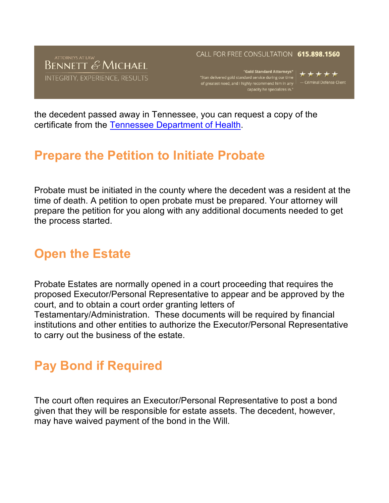### ATTORNEYS AT LAW<br>BENNETT & MICHAEL INTEGRITY, EXPERIENCE, RESULTS

#### CALL FOR FREE CONSULTATION 615.898.1560

"Gold Standard Attorneys"<br>ndard service during our time "Stan delivered gold standard service during our time"<br>of greatest need, and I highly recommend him in any<br>"capacity he specializes in.

- Criminal Defense Client

the decedent passed away in Tennessee, you can request a copy of the certificate from the Tennessee Department of Health.

#### **Prepare the Petition to Initiate Probate**

Probate must be initiated in the county where the decedent was a resident at the time of death. A petition to open probate must be prepared. Your attorney will prepare the petition for you along with any additional documents needed to get the process started.

### **Open the Estate**

Probate Estates are normally opened in a court proceeding that requires the proposed Executor/Personal Representative to appear and be approved by the court, and to obtain a court order granting letters of Testamentary/Administration. These documents will be required by financial institutions and other entities to authorize the Executor/Personal Representative to carry out the business of the estate.

#### **Pay Bond if Required**

The court often requires an Executor/Personal Representative to post a bond given that they will be responsible for estate assets. The decedent, however, may have waived payment of the bond in the Will.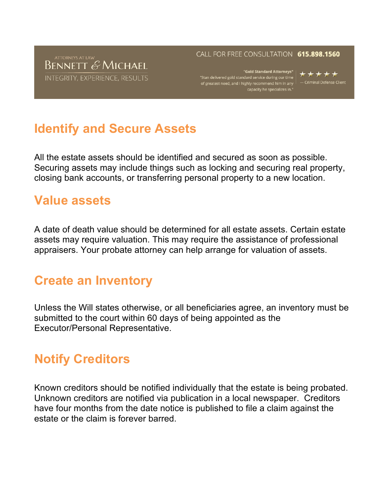### ATTORNEYS AT LAW<br>BENNETT & MICHAEL INTEGRITY, EXPERIENCE, RESULTS

#### CALL FOR FREE CONSULTATION 615.898.1560

"Gold Standard Attorneys" | "Stan delivered gold standard service during our time"<br>of greatest need, and I highly recommend him in any<br>"capacity he specializes in.

\*\*\*\*\* - Criminal Defense Client

### **Identify and Secure Assets**

All the estate assets should be identified and secured as soon as possible. Securing assets may include things such as locking and securing real property, closing bank accounts, or transferring personal property to a new location.

#### **Value assets**

A date of death value should be determined for all estate assets. Certain estate assets may require valuation. This may require the assistance of professional appraisers. Your probate attorney can help arrange for valuation of assets.

### **Create an Inventory**

Unless the Will states otherwise, or all beneficiaries agree, an inventory must be submitted to the court within 60 days of being appointed as the Executor/Personal Representative.

### **Notify Creditors**

Known creditors should be notified individually that the estate is being probated. Unknown creditors are notified via publication in a local newspaper. Creditors have four months from the date notice is published to file a claim against the estate or the claim is forever barred.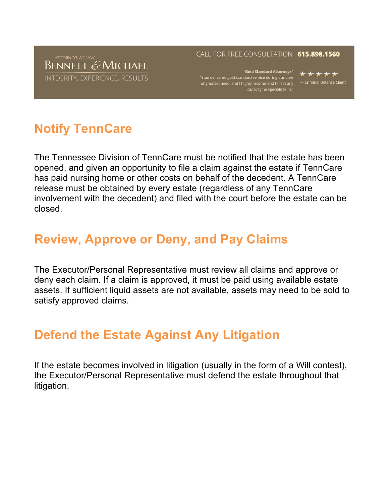#### ATTORNEYS AT LAW<br>BENNETT & MICHAEL INTEGRITY, EXPERIENCE, RESULTS

#### CALL FOR FREE CONSULTATION 615.898.1560

"Gold Standard Attorneys" | "Stan delivered gold standard service during our time"<br>of greatest need, and I highly recommend him in any<br>"capacity he specializes in.

\*\*\*\*\* - Criminal Defense Client

# **Notify TennCare**

The Tennessee Division of TennCare must be notified that the estate has been opened, and given an opportunity to file a claim against the estate if TennCare has paid nursing home or other costs on behalf of the decedent. A TennCare release must be obtained by every estate (regardless of any TennCare involvement with the decedent) and filed with the court before the estate can be closed.

#### **Review, Approve or Deny, and Pay Claims**

The Executor/Personal Representative must review all claims and approve or deny each claim. If a claim is approved, it must be paid using available estate assets. If sufficient liquid assets are not available, assets may need to be sold to satisfy approved claims.

### **Defend the Estate Against Any Litigation**

If the estate becomes involved in litigation (usually in the form of a Will contest), the Executor/Personal Representative must defend the estate throughout that litigation.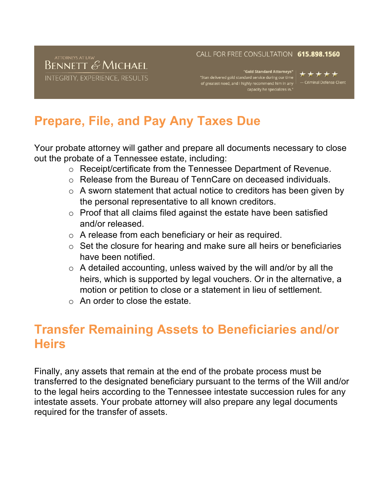#### **BENNETT & MICHAEL** INTEGRITY, EXPERIENCE, RESULTS

#### CALL FOR FREE CONSULTATION 615.898.1560

"Gold Standard Attorneys"<br>Indard service during our time "Stan delivered gold standard service during our time"<br>of greatest need, and I highly recommend him in any<br>"capacity he specializes in.

- Criminal Defense Client

# **Prepare, File, and Pay Any Taxes Due**

Your probate attorney will gather and prepare all documents necessary to close out the probate of a Tennessee estate, including:

- o Receipt/certificate from the Tennessee Department of Revenue.
- o Release from the Bureau of TennCare on deceased individuals.
- o A sworn statement that actual notice to creditors has been given by the personal representative to all known creditors.
- o Proof that all claims filed against the estate have been satisfied and/or released.
- o A release from each beneficiary or heir as required.
- o Set the closure for hearing and make sure all heirs or beneficiaries have been notified.
- o A detailed accounting, unless waived by the will and/or by all the heirs, which is supported by legal vouchers. Or in the alternative, a motion or petition to close or a statement in lieu of settlement.
- $\circ$  An order to close the estate.

### **Transfer Remaining Assets to Beneficiaries and/or Heirs**

Finally, any assets that remain at the end of the probate process must be transferred to the designated beneficiary pursuant to the terms of the Will and/or to the legal heirs according to the Tennessee intestate succession rules for any intestate assets. Your probate attorney will also prepare any legal documents required for the transfer of assets.